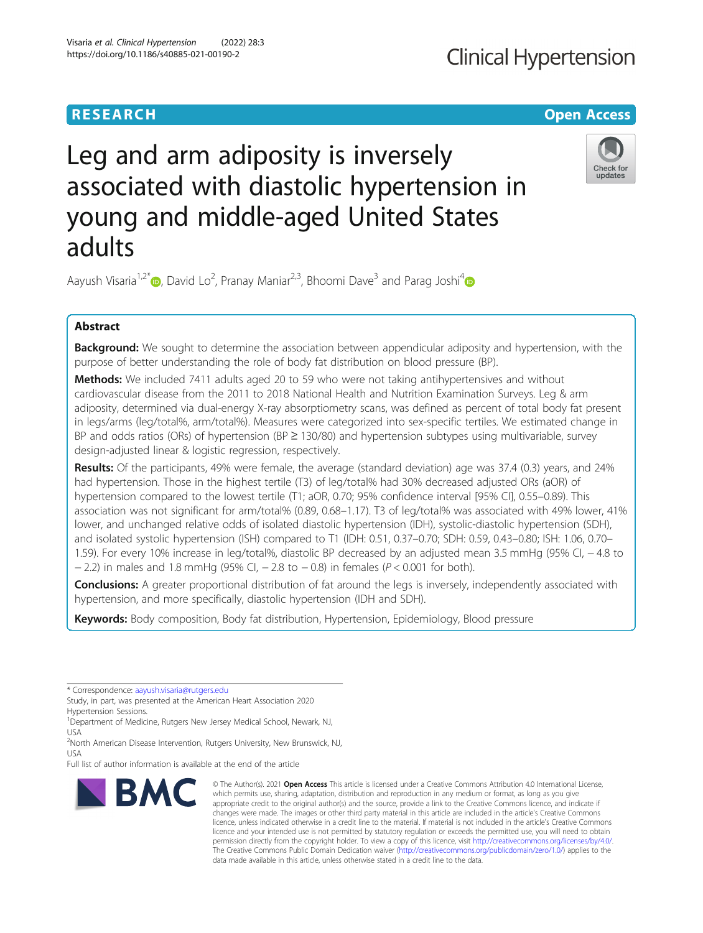# **RESEARCH CHE Open Access**

# **Clinical Hypertension**

# Leg and arm adiposity is inversely associated with diastolic hypertension in young and middle-aged United States adults



Aayush Visaria<sup>1,2\*</sup> (@, David Lo<sup>2</sup>, Pranay Maniar<sup>2,3</sup>, Bhoomi Dave<sup>3</sup> and Parag Joshi<sup>4</sup>

# Abstract

Background: We sought to determine the association between appendicular adiposity and hypertension, with the purpose of better understanding the role of body fat distribution on blood pressure (BP).

Methods: We included 7411 adults aged 20 to 59 who were not taking antihypertensives and without cardiovascular disease from the 2011 to 2018 National Health and Nutrition Examination Surveys. Leg & arm adiposity, determined via dual-energy X-ray absorptiometry scans, was defined as percent of total body fat present in legs/arms (leg/total%, arm/total%). Measures were categorized into sex-specific tertiles. We estimated change in BP and odds ratios (ORs) of hypertension (BP ≥ 130/80) and hypertension subtypes using multivariable, survey design-adjusted linear & logistic regression, respectively.

Results: Of the participants, 49% were female, the average (standard deviation) age was 37.4 (0.3) years, and 24% had hypertension. Those in the highest tertile (T3) of leg/total% had 30% decreased adjusted ORs (aOR) of hypertension compared to the lowest tertile (T1; aOR, 0.70; 95% confidence interval [95% CI], 0.55–0.89). This association was not significant for arm/total% (0.89, 0.68–1.17). T3 of leg/total% was associated with 49% lower, 41% lower, and unchanged relative odds of isolated diastolic hypertension (IDH), systolic-diastolic hypertension (SDH), and isolated systolic hypertension (ISH) compared to T1 (IDH: 0.51, 0.37–0.70; SDH: 0.59, 0.43–0.80; ISH: 1.06, 0.70– 1.59). For every 10% increase in leg/total%, diastolic BP decreased by an adjusted mean 3.5 mmHg (95% CI, − 4.8 to  $-$  2.2) in males and 1.8 mmHg (95% CI,  $-$  2.8 to  $-$  0.8) in females (P < 0.001 for both).

Conclusions: A greater proportional distribution of fat around the legs is inversely, independently associated with hypertension, and more specifically, diastolic hypertension (IDH and SDH).

Keywords: Body composition, Body fat distribution, Hypertension, Epidemiology, Blood pressure

\* Correspondence: [aayush.visaria@rutgers.edu](mailto:aayush.visaria@rutgers.edu)

Study, in part, was presented at the American Heart Association 2020 Hypertension Sessions.

<sup>1</sup> Department of Medicine, Rutgers New Jersey Medical School, Newark, NJ, USA

<sup>2</sup>North American Disease Intervention, Rutgers University, New Brunswick, NJ, USA

Full list of author information is available at the end of the article



<sup>©</sup> The Author(s), 2021 **Open Access** This article is licensed under a Creative Commons Attribution 4.0 International License, which permits use, sharing, adaptation, distribution and reproduction in any medium or format, as long as you give appropriate credit to the original author(s) and the source, provide a link to the Creative Commons licence, and indicate if changes were made. The images or other third party material in this article are included in the article's Creative Commons licence, unless indicated otherwise in a credit line to the material. If material is not included in the article's Creative Commons licence and your intended use is not permitted by statutory regulation or exceeds the permitted use, you will need to obtain permission directly from the copyright holder. To view a copy of this licence, visit [http://creativecommons.org/licenses/by/4.0/.](http://creativecommons.org/licenses/by/4.0/) The Creative Commons Public Domain Dedication waiver [\(http://creativecommons.org/publicdomain/zero/1.0/](http://creativecommons.org/publicdomain/zero/1.0/)) applies to the data made available in this article, unless otherwise stated in a credit line to the data.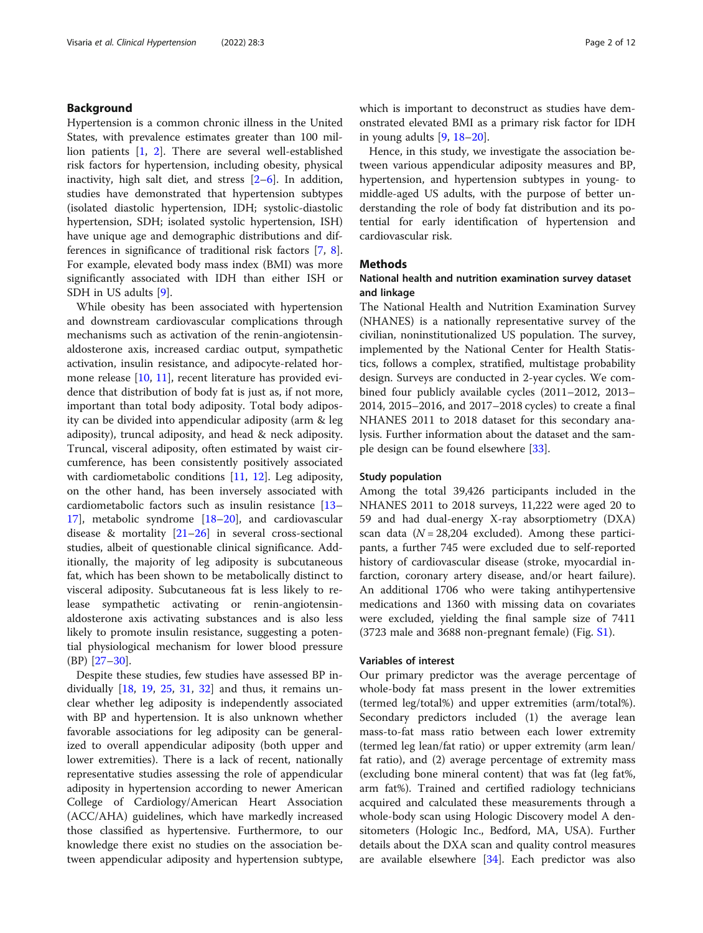### Background

Hypertension is a common chronic illness in the United States, with prevalence estimates greater than 100 million patients [\[1,](#page-10-0) [2](#page-10-0)]. There are several well-established risk factors for hypertension, including obesity, physical inactivity, high salt diet, and stress [\[2](#page-10-0)–[6](#page-10-0)]. In addition, studies have demonstrated that hypertension subtypes (isolated diastolic hypertension, IDH; systolic-diastolic hypertension, SDH; isolated systolic hypertension, ISH) have unique age and demographic distributions and differences in significance of traditional risk factors [\[7](#page-10-0), [8](#page-10-0)]. For example, elevated body mass index (BMI) was more significantly associated with IDH than either ISH or SDH in US adults [[9\]](#page-10-0).

While obesity has been associated with hypertension and downstream cardiovascular complications through mechanisms such as activation of the renin-angiotensinaldosterone axis, increased cardiac output, sympathetic activation, insulin resistance, and adipocyte-related hormone release [[10,](#page-10-0) [11\]](#page-10-0), recent literature has provided evidence that distribution of body fat is just as, if not more, important than total body adiposity. Total body adiposity can be divided into appendicular adiposity (arm & leg adiposity), truncal adiposity, and head & neck adiposity. Truncal, visceral adiposity, often estimated by waist circumference, has been consistently positively associated with cardiometabolic conditions [\[11,](#page-10-0) [12\]](#page-10-0). Leg adiposity, on the other hand, has been inversely associated with cardiometabolic factors such as insulin resistance [[13](#page-10-0)– [17\]](#page-10-0), metabolic syndrome [[18](#page-10-0)–[20](#page-10-0)], and cardiovascular disease & mortality [\[21](#page-10-0)–[26\]](#page-10-0) in several cross-sectional studies, albeit of questionable clinical significance. Additionally, the majority of leg adiposity is subcutaneous fat, which has been shown to be metabolically distinct to visceral adiposity. Subcutaneous fat is less likely to release sympathetic activating or renin-angiotensinaldosterone axis activating substances and is also less likely to promote insulin resistance, suggesting a potential physiological mechanism for lower blood pressure (BP) [[27](#page-10-0)–[30](#page-10-0)].

Despite these studies, few studies have assessed BP individually  $[18, 19, 25, 31, 32]$  $[18, 19, 25, 31, 32]$  $[18, 19, 25, 31, 32]$  $[18, 19, 25, 31, 32]$  $[18, 19, 25, 31, 32]$  $[18, 19, 25, 31, 32]$  $[18, 19, 25, 31, 32]$  $[18, 19, 25, 31, 32]$  $[18, 19, 25, 31, 32]$  $[18, 19, 25, 31, 32]$  and thus, it remains unclear whether leg adiposity is independently associated with BP and hypertension. It is also unknown whether favorable associations for leg adiposity can be generalized to overall appendicular adiposity (both upper and lower extremities). There is a lack of recent, nationally representative studies assessing the role of appendicular adiposity in hypertension according to newer American College of Cardiology/American Heart Association (ACC/AHA) guidelines, which have markedly increased those classified as hypertensive. Furthermore, to our knowledge there exist no studies on the association between appendicular adiposity and hypertension subtype, which is important to deconstruct as studies have demonstrated elevated BMI as a primary risk factor for IDH in young adults [\[9,](#page-10-0) [18](#page-10-0)–[20\]](#page-10-0).

Hence, in this study, we investigate the association between various appendicular adiposity measures and BP, hypertension, and hypertension subtypes in young- to middle-aged US adults, with the purpose of better understanding the role of body fat distribution and its potential for early identification of hypertension and cardiovascular risk.

#### **Methods**

### National health and nutrition examination survey dataset and linkage

The National Health and Nutrition Examination Survey (NHANES) is a nationally representative survey of the civilian, noninstitutionalized US population. The survey, implemented by the National Center for Health Statistics, follows a complex, stratified, multistage probability design. Surveys are conducted in 2-year cycles. We combined four publicly available cycles (2011–2012, 2013– 2014, 2015–2016, and 2017–2018 cycles) to create a final NHANES 2011 to 2018 dataset for this secondary analysis. Further information about the dataset and the sample design can be found elsewhere [\[33](#page-11-0)].

#### Study population

Among the total 39,426 participants included in the NHANES 2011 to 2018 surveys, 11,222 were aged 20 to 59 and had dual-energy X-ray absorptiometry (DXA) scan data  $(N = 28,204$  excluded). Among these participants, a further 745 were excluded due to self-reported history of cardiovascular disease (stroke, myocardial infarction, coronary artery disease, and/or heart failure). An additional 1706 who were taking antihypertensive medications and 1360 with missing data on covariates were excluded, yielding the final sample size of 7411 (3723 male and 3688 non-pregnant female) (Fig. [S1\)](#page-9-0).

#### Variables of interest

Our primary predictor was the average percentage of whole-body fat mass present in the lower extremities (termed leg/total%) and upper extremities (arm/total%). Secondary predictors included (1) the average lean mass-to-fat mass ratio between each lower extremity (termed leg lean/fat ratio) or upper extremity (arm lean/ fat ratio), and (2) average percentage of extremity mass (excluding bone mineral content) that was fat (leg fat%, arm fat%). Trained and certified radiology technicians acquired and calculated these measurements through a whole-body scan using Hologic Discovery model A densitometers (Hologic Inc., Bedford, MA, USA). Further details about the DXA scan and quality control measures are available elsewhere [\[34](#page-11-0)]. Each predictor was also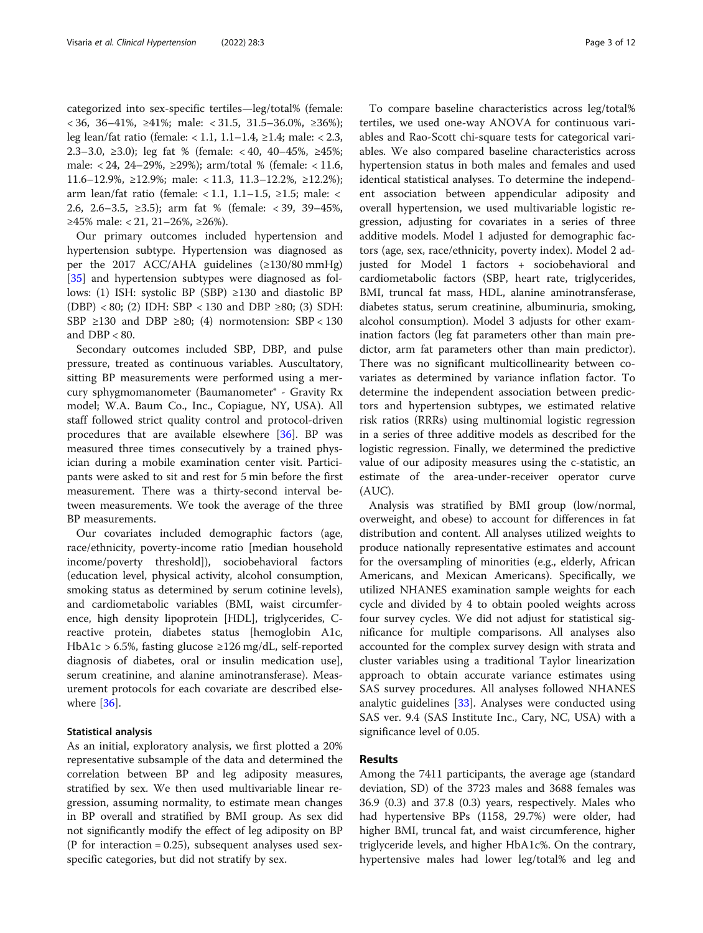categorized into sex-specific tertiles—leg/total% (female: < 36, 36–41%, ≥41%; male: < 31.5, 31.5–36.0%, ≥36%); leg lean/fat ratio (female: < 1.1, 1.1–1.4, ≥1.4; male: < 2.3, 2.3–3.0, ≥3.0); leg fat % (female: < 40, 40–45%, ≥45%; male: < 24, 24–29%, ≥29%); arm/total % (female: < 11.6, 11.6–12.9%, ≥12.9%; male: < 11.3, 11.3–12.2%, ≥12.2%); arm lean/fat ratio (female: < 1.1, 1.1–1.5, ≥1.5; male: < 2.6, 2.6–3.5, ≥3.5); arm fat % (female: < 39, 39–45%, ≥45% male: < 21, 21–26%, ≥26%).

Our primary outcomes included hypertension and hypertension subtype. Hypertension was diagnosed as per the 2017 ACC/AHA guidelines (≥130/80 mmHg) [[35\]](#page-11-0) and hypertension subtypes were diagnosed as follows: (1) ISH: systolic BP (SBP) ≥130 and diastolic BP (DBP) < 80; (2) IDH: SBP < 130 and DBP ≥80; (3) SDH: SBP ≥130 and DBP ≥80; (4) normotension: SBP < 130 and  $DBP < 80$ .

Secondary outcomes included SBP, DBP, and pulse pressure, treated as continuous variables. Auscultatory, sitting BP measurements were performed using a mercury sphygmomanometer (Baumanometer® - Gravity Rx model; W.A. Baum Co., Inc., Copiague, NY, USA). All staff followed strict quality control and protocol-driven procedures that are available elsewhere [\[36](#page-11-0)]. BP was measured three times consecutively by a trained physician during a mobile examination center visit. Participants were asked to sit and rest for 5 min before the first measurement. There was a thirty-second interval between measurements. We took the average of the three BP measurements.

Our covariates included demographic factors (age, race/ethnicity, poverty-income ratio [median household income/poverty threshold]), sociobehavioral factors (education level, physical activity, alcohol consumption, smoking status as determined by serum cotinine levels), and cardiometabolic variables (BMI, waist circumference, high density lipoprotein [HDL], triglycerides, Creactive protein, diabetes status [hemoglobin A1c, HbA1c > 6.5%, fasting glucose ≥126 mg/dL, self-reported diagnosis of diabetes, oral or insulin medication use], serum creatinine, and alanine aminotransferase). Measurement protocols for each covariate are described else-where [\[36](#page-11-0)].

#### Statistical analysis

As an initial, exploratory analysis, we first plotted a 20% representative subsample of the data and determined the correlation between BP and leg adiposity measures, stratified by sex. We then used multivariable linear regression, assuming normality, to estimate mean changes in BP overall and stratified by BMI group. As sex did not significantly modify the effect of leg adiposity on BP (P for interaction  $= 0.25$ ), subsequent analyses used sexspecific categories, but did not stratify by sex.

To compare baseline characteristics across leg/total% tertiles, we used one-way ANOVA for continuous variables and Rao-Scott chi-square tests for categorical variables. We also compared baseline characteristics across hypertension status in both males and females and used identical statistical analyses. To determine the independent association between appendicular adiposity and overall hypertension, we used multivariable logistic regression, adjusting for covariates in a series of three additive models. Model 1 adjusted for demographic factors (age, sex, race/ethnicity, poverty index). Model 2 adjusted for Model 1 factors + sociobehavioral and cardiometabolic factors (SBP, heart rate, triglycerides, BMI, truncal fat mass, HDL, alanine aminotransferase, diabetes status, serum creatinine, albuminuria, smoking, alcohol consumption). Model 3 adjusts for other examination factors (leg fat parameters other than main predictor, arm fat parameters other than main predictor). There was no significant multicollinearity between covariates as determined by variance inflation factor. To determine the independent association between predictors and hypertension subtypes, we estimated relative risk ratios (RRRs) using multinomial logistic regression in a series of three additive models as described for the logistic regression. Finally, we determined the predictive value of our adiposity measures using the c-statistic, an estimate of the area-under-receiver operator curve (AUC).

Analysis was stratified by BMI group (low/normal, overweight, and obese) to account for differences in fat distribution and content. All analyses utilized weights to produce nationally representative estimates and account for the oversampling of minorities (e.g., elderly, African Americans, and Mexican Americans). Specifically, we utilized NHANES examination sample weights for each cycle and divided by 4 to obtain pooled weights across four survey cycles. We did not adjust for statistical significance for multiple comparisons. All analyses also accounted for the complex survey design with strata and cluster variables using a traditional Taylor linearization approach to obtain accurate variance estimates using SAS survey procedures. All analyses followed NHANES analytic guidelines [\[33\]](#page-11-0). Analyses were conducted using SAS ver. 9.4 (SAS Institute Inc., Cary, NC, USA) with a significance level of 0.05.

#### Results

Among the 7411 participants, the average age (standard deviation, SD) of the 3723 males and 3688 females was 36.9 (0.3) and 37.8 (0.3) years, respectively. Males who had hypertensive BPs (1158, 29.7%) were older, had higher BMI, truncal fat, and waist circumference, higher triglyceride levels, and higher HbA1c%. On the contrary, hypertensive males had lower leg/total% and leg and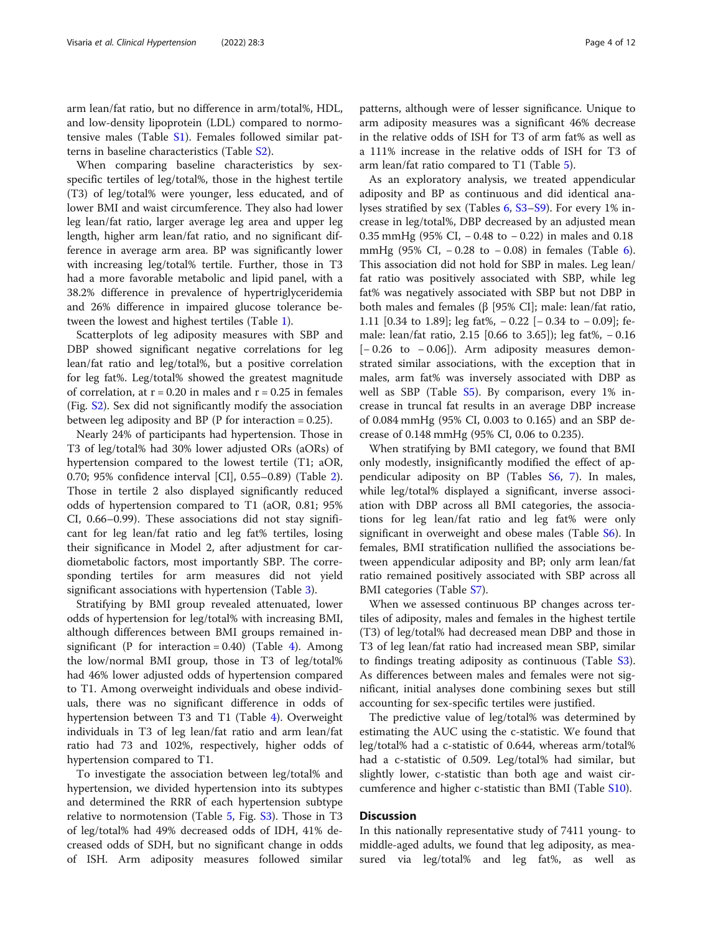arm lean/fat ratio, but no difference in arm/total%, HDL, and low-density lipoprotein (LDL) compared to normotensive males (Table [S1\)](#page-9-0). Females followed similar patterns in baseline characteristics (Table [S2\)](#page-9-0).

When comparing baseline characteristics by sexspecific tertiles of leg/total%, those in the highest tertile (T3) of leg/total% were younger, less educated, and of lower BMI and waist circumference. They also had lower leg lean/fat ratio, larger average leg area and upper leg length, higher arm lean/fat ratio, and no significant difference in average arm area. BP was significantly lower with increasing leg/total% tertile. Further, those in T3 had a more favorable metabolic and lipid panel, with a 38.2% difference in prevalence of hypertriglyceridemia and 26% difference in impaired glucose tolerance between the lowest and highest tertiles (Table [1](#page-4-0)).

Scatterplots of leg adiposity measures with SBP and DBP showed significant negative correlations for leg lean/fat ratio and leg/total%, but a positive correlation for leg fat%. Leg/total% showed the greatest magnitude of correlation, at  $r = 0.20$  in males and  $r = 0.25$  in females (Fig. [S2](#page-9-0)). Sex did not significantly modify the association between leg adiposity and BP (P for interaction = 0.25).

Nearly 24% of participants had hypertension. Those in T3 of leg/total% had 30% lower adjusted ORs (aORs) of hypertension compared to the lowest tertile (T1; aOR, 0.70; 95% confidence interval [CI], 0.55–0.89) (Table [2](#page-5-0)). Those in tertile 2 also displayed significantly reduced odds of hypertension compared to T1 (aOR, 0.81; 95% CI, 0.66–0.99). These associations did not stay significant for leg lean/fat ratio and leg fat% tertiles, losing their significance in Model 2, after adjustment for cardiometabolic factors, most importantly SBP. The corresponding tertiles for arm measures did not yield significant associations with hypertension (Table [3\)](#page-6-0).

Stratifying by BMI group revealed attenuated, lower odds of hypertension for leg/total% with increasing BMI, although differences between BMI groups remained insignificant (P for interaction =  $0.40$ ) (Table [4\)](#page-6-0). Among the low/normal BMI group, those in T3 of leg/total% had 46% lower adjusted odds of hypertension compared to T1. Among overweight individuals and obese individuals, there was no significant difference in odds of hypertension between T3 and T1 (Table [4](#page-6-0)). Overweight individuals in T3 of leg lean/fat ratio and arm lean/fat ratio had 73 and 102%, respectively, higher odds of hypertension compared to T1.

To investigate the association between leg/total% and hypertension, we divided hypertension into its subtypes and determined the RRR of each hypertension subtype relative to normotension (Table [5,](#page-7-0) Fig. [S3](#page-9-0)). Those in T3 of leg/total% had 49% decreased odds of IDH, 41% decreased odds of SDH, but no significant change in odds of ISH. Arm adiposity measures followed similar

patterns, although were of lesser significance. Unique to arm adiposity measures was a significant 46% decrease in the relative odds of ISH for T3 of arm fat% as well as a 111% increase in the relative odds of ISH for T3 of arm lean/fat ratio compared to T1 (Table [5\)](#page-7-0).

As an exploratory analysis, we treated appendicular adiposity and BP as continuous and did identical analyses stratified by sex (Tables [6,](#page-8-0) [S3](#page-9-0)–[S9\)](#page-9-0). For every 1% increase in leg/total%, DBP decreased by an adjusted mean 0.35 mmHg (95% CI, − 0.48 to − 0.22) in males and 0.18 mmHg (95% CI, − 0.28 to − 0.08) in females (Table [6](#page-8-0)). This association did not hold for SBP in males. Leg lean/ fat ratio was positively associated with SBP, while leg fat% was negatively associated with SBP but not DBP in both males and females (β [95% CI]; male: lean/fat ratio, 1.11 [0.34 to 1.89]; leg fat%, − 0.22 [− 0.34 to − 0.09]; female: lean/fat ratio, 2.15 [0.66 to 3.65]); leg fat%, − 0.16  $[-0.26 \text{ to } -0.06]$ . Arm adiposity measures demonstrated similar associations, with the exception that in males, arm fat% was inversely associated with DBP as well as SBP (Table  $S5$ ). By comparison, every 1% increase in truncal fat results in an average DBP increase of 0.084 mmHg (95% CI, 0.003 to 0.165) and an SBP decrease of 0.148 mmHg (95% CI, 0.06 to 0.235).

When stratifying by BMI category, we found that BMI only modestly, insignificantly modified the effect of appendicular adiposity on BP (Tables [S6,](#page-9-0) [7\)](#page-9-0). In males, while leg/total% displayed a significant, inverse association with DBP across all BMI categories, the associations for leg lean/fat ratio and leg fat% were only significant in overweight and obese males (Table [S6](#page-9-0)). In females, BMI stratification nullified the associations between appendicular adiposity and BP; only arm lean/fat ratio remained positively associated with SBP across all BMI categories (Table [S7](#page-9-0)).

When we assessed continuous BP changes across tertiles of adiposity, males and females in the highest tertile (T3) of leg/total% had decreased mean DBP and those in T3 of leg lean/fat ratio had increased mean SBP, similar to findings treating adiposity as continuous (Table [S3](#page-9-0)). As differences between males and females were not significant, initial analyses done combining sexes but still accounting for sex-specific tertiles were justified.

The predictive value of leg/total% was determined by estimating the AUC using the c-statistic. We found that leg/total% had a c-statistic of 0.644, whereas arm/total% had a c-statistic of 0.509. Leg/total% had similar, but slightly lower, c-statistic than both age and waist circumference and higher c-statistic than BMI (Table [S10](#page-9-0)).

#### Discussion

In this nationally representative study of 7411 young- to middle-aged adults, we found that leg adiposity, as measured via leg/total% and leg fat%, as well as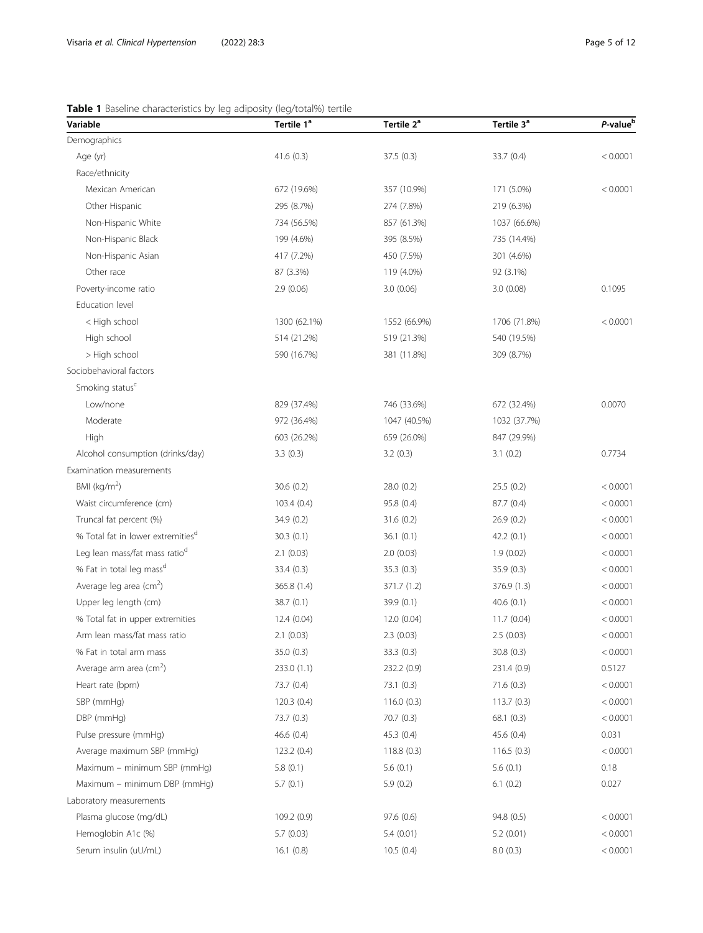## <span id="page-4-0"></span>Table 1 Baseline characteristics by leg adiposity (leg/total%) tertile

| Variable                                      | Tertile 1 <sup>ª</sup> | Tertile 2 <sup>ª</sup> | Tertile 3 <sup>ª</sup> | P-value <sup>t</sup> |
|-----------------------------------------------|------------------------|------------------------|------------------------|----------------------|
| Demographics                                  |                        |                        |                        |                      |
| Age (yr)                                      | 41.6(0.3)              | 37.5(0.3)              | 33.7 (0.4)             | < 0.0001             |
| Race/ethnicity                                |                        |                        |                        |                      |
| Mexican American                              | 672 (19.6%)            | 357 (10.9%)            | 171 (5.0%)             | < 0.0001             |
| Other Hispanic                                | 295 (8.7%)             | 274 (7.8%)             | 219 (6.3%)             |                      |
| Non-Hispanic White                            | 734 (56.5%)            | 857 (61.3%)            | 1037 (66.6%)           |                      |
| Non-Hispanic Black                            | 199 (4.6%)             | 395 (8.5%)             | 735 (14.4%)            |                      |
| Non-Hispanic Asian                            | 417 (7.2%)             | 450 (7.5%)             | 301 (4.6%)             |                      |
| Other race                                    | 87 (3.3%)              | 119 (4.0%)             | 92 (3.1%)              |                      |
| Poverty-income ratio                          | 2.9(0.06)              | 3.0(0.06)              | 3.0(0.08)              | 0.1095               |
| Education level                               |                        |                        |                        |                      |
| < High school                                 | 1300 (62.1%)           | 1552 (66.9%)           | 1706 (71.8%)           | < 0.0001             |
| High school                                   | 514 (21.2%)            | 519 (21.3%)            | 540 (19.5%)            |                      |
| > High school                                 | 590 (16.7%)            | 381 (11.8%)            | 309 (8.7%)             |                      |
| Sociobehavioral factors                       |                        |                        |                        |                      |
| Smoking status <sup>c</sup>                   |                        |                        |                        |                      |
| Low/none                                      | 829 (37.4%)            | 746 (33.6%)            | 672 (32.4%)            | 0.0070               |
| Moderate                                      | 972 (36.4%)            | 1047 (40.5%)           | 1032 (37.7%)           |                      |
| High                                          | 603 (26.2%)            | 659 (26.0%)            | 847 (29.9%)            |                      |
| Alcohol consumption (drinks/day)              | 3.3(0.3)               | 3.2(0.3)               | 3.1(0.2)               | 0.7734               |
| Examination measurements                      |                        |                        |                        |                      |
| BMI ( $\text{kg/m}^2$ )                       | 30.6(0.2)              | 28.0(0.2)              | 25.5(0.2)              | < 0.0001             |
| Waist circumference (cm)                      | 103.4(0.4)             | 95.8 (0.4)             | 87.7 (0.4)             | < 0.0001             |
| Truncal fat percent (%)                       | 34.9 (0.2)             | 31.6(0.2)              | 26.9(0.2)              | < 0.0001             |
| % Total fat in lower extremities <sup>d</sup> | 30.3(0.1)              | 36.1(0.1)              | 42.2(0.1)              | < 0.0001             |
| Leg lean mass/fat mass ratio <sup>d</sup>     | 2.1(0.03)              | 2.0(0.03)              | 1.9(0.02)              | < 0.0001             |
| % Fat in total leg mass <sup>d</sup>          | 33.4 (0.3)             | 35.3(0.3)              | 35.9 (0.3)             | < 0.0001             |
| Average leg area $\text{(cm}^2\text{)}$       | 365.8 (1.4)            | 371.7 (1.2)            | 376.9 (1.3)            | < 0.0001             |
| Upper leg length (cm)                         | 38.7 (0.1)             | 39.9(0.1)              | 40.6(0.1)              | < 0.0001             |
| % Total fat in upper extremities              | 12.4 (0.04)            | 12.0 (0.04)            | 11.7(0.04)             | < 0.0001             |
| Arm lean mass/fat mass ratio                  | 2.1(0.03)              | 2.3(0.03)              | 2.5(0.03)              | < 0.0001             |
| % Fat in total arm mass                       | 35.0 (0.3)             | 33.3 (0.3)             | 30.8 (0.3)             | < 0.0001             |
| Average arm area (cm <sup>2</sup> )           | 233.0 (1.1)            | 232.2 (0.9)            | 231.4 (0.9)            | 0.5127               |
| Heart rate (bpm)                              | 73.7 (0.4)             | 73.1(0.3)              | 71.6(0.3)              | < 0.0001             |
| SBP (mmHg)                                    | 120.3(0.4)             | 116.0(0.3)             | 113.7(0.3)             | < 0.0001             |
| DBP (mmHg)                                    | 73.7 (0.3)             | 70.7(0.3)              | 68.1(0.3)              | < 0.0001             |
| Pulse pressure (mmHg)                         | 46.6(0.4)              | 45.3(0.4)              | 45.6(0.4)              | 0.031                |
| Average maximum SBP (mmHg)                    | 123.2 (0.4)            | 118.8(0.3)             | 116.5(0.3)             | < 0.0001             |
| Maximum - minimum SBP (mmHg)                  | 5.8(0.1)               | 5.6(0.1)               | 5.6(0.1)               | 0.18                 |
| Maximum – minimum DBP (mmHg)                  | 5.7(0.1)               | 5.9(0.2)               | 6.1(0.2)               | 0.027                |
| Laboratory measurements                       |                        |                        |                        |                      |
| Plasma glucose (mg/dL)                        | 109.2 (0.9)            | 97.6(0.6)              | 94.8 (0.5)             | < 0.0001             |
| Hemoglobin A1c (%)                            | 5.7(0.03)              | 5.4(0.01)              | 5.2(0.01)              | < 0.0001             |
| Serum insulin (uU/mL)                         | 16.1(0.8)              | 10.5(0.4)              | 8.0(0.3)               | < 0.0001             |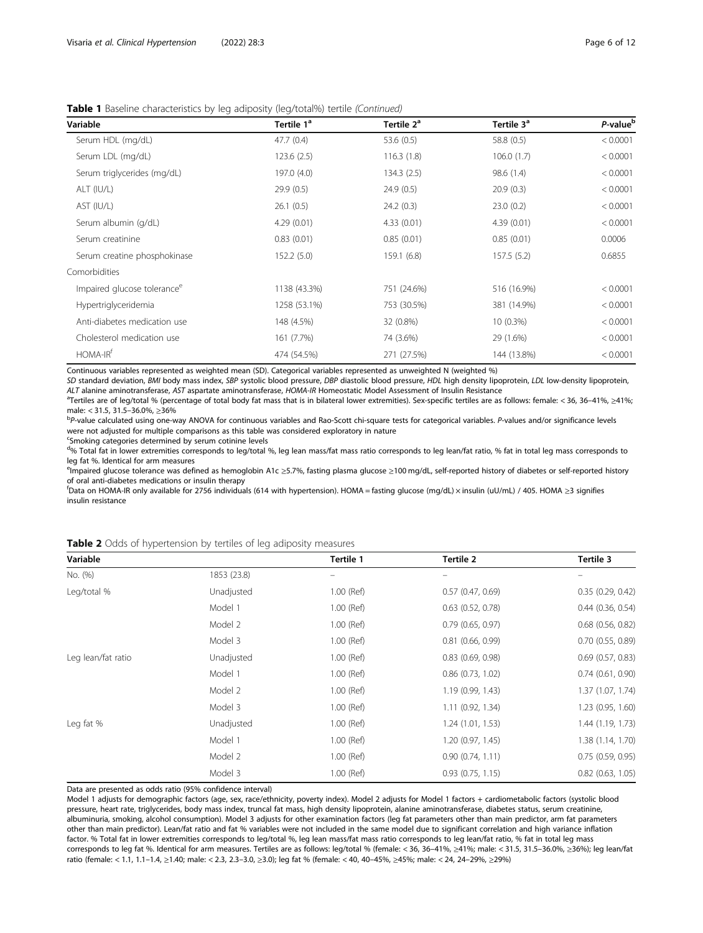<span id="page-5-0"></span>

|  |  | Table 1 Baseline characteristics by leg adiposity (leg/total%) tertile (Continued) |
|--|--|------------------------------------------------------------------------------------|

| Variable                                | Tertile 1 <sup>ª</sup> | Tertile 2 <sup>ª</sup> | Tertile 3 <sup>a</sup> | P-value <sup>b</sup> |
|-----------------------------------------|------------------------|------------------------|------------------------|----------------------|
| Serum HDL (mg/dL)                       | 47.7(0.4)              | 53.6 (0.5)             | 58.8 (0.5)             | < 0.0001             |
| Serum LDL (mg/dL)                       | 123.6(2.5)             | 116.3(1.8)             | 106.0(1.7)             | < 0.0001             |
| Serum triglycerides (mg/dL)             | 197.0 (4.0)            | 134.3(2.5)             | 98.6 (1.4)             | < 0.0001             |
| ALT (IU/L)                              | 29.9(0.5)              | 24.9(0.5)              | 20.9(0.3)              | < 0.0001             |
| AST (IU/L)                              | 26.1(0.5)              | 24.2(0.3)              | 23.0(0.2)              | < 0.0001             |
| Serum albumin (g/dL)                    | 4.29(0.01)             | 4.33(0.01)             | 4.39(0.01)             | < 0.0001             |
| Serum creatinine                        | 0.83(0.01)             | 0.85(0.01)             | 0.85(0.01)             | 0.0006               |
| Serum creatine phosphokinase            | 152.2(5.0)             | 159.1(6.8)             | 157.5(5.2)             | 0.6855               |
| Comorbidities                           |                        |                        |                        |                      |
| Impaired glucose tolerance <sup>e</sup> | 1138 (43.3%)           | 751 (24.6%)            | 516 (16.9%)            | < 0.0001             |
| Hypertriglyceridemia                    | 1258 (53.1%)           | 753 (30.5%)            | 381 (14.9%)            | < 0.0001             |
| Anti-diabetes medication use            | 148 (4.5%)             | 32 (0.8%)              | $10(0.3\%)$            | < 0.0001             |
| Cholesterol medication use              | 161 (7.7%)             | 74 (3.6%)              | 29 (1.6%)              | < 0.0001             |
| HOMA-IR <sup>f</sup>                    | 474 (54.5%)            | 271 (27.5%)            | 144 (13.8%)            | < 0.0001             |

Continuous variables represented as weighted mean (SD). Categorical variables represented as unweighted N (weighted %)

SD standard deviation, BMI body mass index, SBP systolic blood pressure, DBP diastolic blood pressure, HDL high density lipoprotein, LDL low-density lipoprotein, ALT alanine aminotransferase, AST aspartate aminotransferase, HOMA-IR Homeostatic Model Assessment of Insulin Resistance <sup>a</sup>

Tertiles are of leg/total % (percentage of total body fat mass that is in bilateral lower extremities). Sex-specific tertiles are as follows: female: < 36, 36–41%, ≥41%; male: < 31.5, 31.5–36.0%, <sup>≥</sup>36% <sup>b</sup>

P-value calculated using one-way ANOVA for continuous variables and Rao-Scott chi-square tests for categorical variables. P-values and/or significance levels were not adjusted for multiple comparisons as this table was considered exploratory in nature

<sup>c</sup>Smoking categories determined by serum cotinine levels

<sup>d</sup>% Total fat in lower extremities corresponds to leg/total %, leg lean mass/fat mass ratio corresponds to leg lean/fat ratio, % fat in total leg mass corresponds to leg fat %. Identical for arm measures

<sup>e</sup>lmpaired glucose tolerance was defined as hemoglobin A1c ≥5.7%, fasting plasma glucose ≥100 mg/dL, self-reported history of diabetes or self-reported history of oral anti-diabetes medications or insulin therapy

f Data on HOMA-IR only available for 2756 individuals (614 with hypertension). HOMA = fasting glucose (mg/dL) × insulin (uU/mL) / 405. HOMA ≥3 signifies insulin resistance

| Variable           |             | Tertile 1    | Tertile 2             | Tertile 3             |
|--------------------|-------------|--------------|-----------------------|-----------------------|
| No. (%)            | 1853 (23.8) | $\equiv$     |                       |                       |
| Leg/total %        | Unadjusted  | $1.00$ (Ref) | 0.57(0.47, 0.69)      | 0.35(0.29, 0.42)      |
|                    | Model 1     | 1.00 (Ref)   | $0.63$ $(0.52, 0.78)$ | $0.44$ (0.36, 0.54)   |
|                    | Model 2     | 1.00 (Ref)   | $0.79$ (0.65, 0.97)   | $0.68$ $(0.56, 0.82)$ |
|                    | Model 3     | $1.00$ (Ref) | $0.81$ $(0.66, 0.99)$ | $0.70$ $(0.55, 0.89)$ |
| Leg lean/fat ratio | Unadjusted  | $1.00$ (Ref) | $0.83$ $(0.69, 0.98)$ | $0.69$ $(0.57, 0.83)$ |
|                    | Model 1     | 1.00 (Ref)   | $0.86$ $(0.73, 1.02)$ | $0.74$ $(0.61, 0.90)$ |
|                    | Model 2     | $1.00$ (Ref) | 1.19 (0.99, 1.43)     | 1.37 (1.07, 1.74)     |
|                    | Model 3     | 1.00 (Ref)   | 1.11 (0.92, 1.34)     | 1.23 (0.95, 1.60)     |
| Leg fat %          | Unadjusted  | 1.00 (Ref)   | 1.24(1.01, 1.53)      | 1.44 (1.19, 1.73)     |
|                    | Model 1     | $1.00$ (Ref) | 1.20 (0.97, 1.45)     | 1.38(1.14, 1.70)      |
|                    | Model 2     | $1.00$ (Ref) | 0.90(0.74, 1.11)      | 0.75(0.59, 0.95)      |
|                    | Model 3     | 1.00 (Ref)   | $0.93$ $(0.75, 1.15)$ | $0.82$ $(0.63, 1.05)$ |

Data are presented as odds ratio (95% confidence interval)

Model 1 adjusts for demographic factors (age, sex, race/ethnicity, poverty index). Model 2 adjusts for Model 1 factors + cardiometabolic factors (systolic blood pressure, heart rate, triglycerides, body mass index, truncal fat mass, high density lipoprotein, alanine aminotransferase, diabetes status, serum creatinine, albuminuria, smoking, alcohol consumption). Model 3 adjusts for other examination factors (leg fat parameters other than main predictor, arm fat parameters other than main predictor). Lean/fat ratio and fat % variables were not included in the same model due to significant correlation and high variance inflation factor. % Total fat in lower extremities corresponds to leg/total %, leg lean mass/fat mass ratio corresponds to leg lean/fat ratio, % fat in total leg mass corresponds to leg fat %. Identical for arm measures. Tertiles are as follows: leg/total % (female: < 36, 36–41%, ≥41%; male: < 31.5, 31.5–36.0%, ≥36%); leg lean/fat ratio (female: < 1.1, 1.1–1.4, ≥1.40; male: < 2.3, 2.3–3.0, ≥3.0); leg fat % (female: < 40, 40–45%, ≥45%; male: < 24, 24–29%, ≥29%)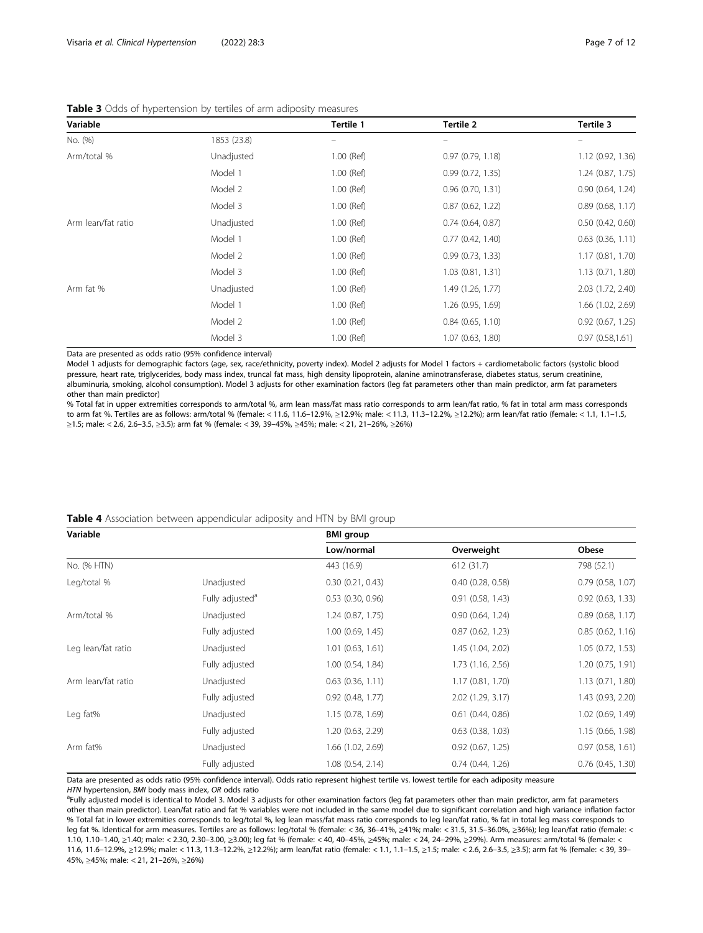| Variable           |             | Tertile 1    | Tertile 2           | Tertile 3             |
|--------------------|-------------|--------------|---------------------|-----------------------|
| No. (%)            | 1853 (23.8) |              |                     |                       |
| Arm/total %        | Unadjusted  | 1.00 (Ref)   | 0.97(0.79, 1.18)    | 1.12 (0.92, 1.36)     |
|                    | Model 1     | $1.00$ (Ref) | 0.99(0.72, 1.35)    | 1.24(0.87, 1.75)      |
|                    | Model 2     | $1.00$ (Ref) | 0.96(0.70, 1.31)    | 0.90 (0.64, 1.24)     |
|                    | Model 3     | 1.00 (Ref)   | 0.87(0.62, 1.22)    | $0.89$ (0.68, 1.17)   |
| Arm lean/fat ratio | Unadjusted  | $1.00$ (Ref) | 0.74(0.64, 0.87)    | $0.50$ $(0.42, 0.60)$ |
|                    | Model 1     | $1.00$ (Ref) | 0.77(0.42, 1.40)    | $0.63$ $(0.36, 1.11)$ |
|                    | Model 2     | $1.00$ (Ref) | 0.99(0.73, 1.33)    | 1.17(0.81, 1.70)      |
|                    | Model 3     | $1.00$ (Ref) | 1.03(0.81, 1.31)    | 1.13(0.71, 1.80)      |
| Arm fat %          | Unadjusted  | $1.00$ (Ref) | 1.49 (1.26, 1.77)   | 2.03 (1.72, 2.40)     |
|                    | Model 1     | $1.00$ (Ref) | 1.26 (0.95, 1.69)   | 1.66 (1.02, 2.69)     |
|                    | Model 2     | $1.00$ (Ref) | $0.84$ (0.65, 1.10) | $0.92$ $(0.67, 1.25)$ |
|                    | Model 3     | 1.00 (Ref)   | 1.07 (0.63, 1.80)   | 0.97(0.58, 1.61)      |

<span id="page-6-0"></span>

| Table 3 Odds of hypertension by tertiles of arm adiposity measures |  |  |
|--------------------------------------------------------------------|--|--|
|--------------------------------------------------------------------|--|--|

Data are presented as odds ratio (95% confidence interval)

Model 1 adjusts for demographic factors (age, sex, race/ethnicity, poverty index). Model 2 adjusts for Model 1 factors + cardiometabolic factors (systolic blood pressure, heart rate, triglycerides, body mass index, truncal fat mass, high density lipoprotein, alanine aminotransferase, diabetes status, serum creatinine, albuminuria, smoking, alcohol consumption). Model 3 adjusts for other examination factors (leg fat parameters other than main predictor, arm fat parameters other than main predictor)

% Total fat in upper extremities corresponds to arm/total %, arm lean mass/fat mass ratio corresponds to arm lean/fat ratio, % fat in total arm mass corresponds to arm fat %. Tertiles are as follows: arm/total % (female: < 11.6, 11.6–12.9%, ≥12.9%; male: < 11.3, 11.3–12.2%, ≥12.2%); arm lean/fat ratio (female: < 1.1, 1.1–1.5, ≥1.5; male: < 2.6, 2.6–3.5, ≥3.5); arm fat % (female: < 39, 39–45%, ≥45%; male: < 21, 21–26%, ≥26%)

#### Table 4 Association between appendicular adiposity and HTN by BMI group

| Variable           |                             | <b>BMI</b> group      |                       |                       |
|--------------------|-----------------------------|-----------------------|-----------------------|-----------------------|
|                    |                             | Low/normal            | Overweight            | Obese                 |
| No. (% HTN)        |                             | 443 (16.9)            | 612 (31.7)            | 798 (52.1)            |
| Leg/total %        | Unadjusted                  | 0.30(0.21, 0.43)      | 0.40(0.28, 0.58)      | $0.79$ $(0.58, 1.07)$ |
|                    | Fully adjusted <sup>a</sup> | $0.53$ $(0.30, 0.96)$ | 0.91(0.58, 1.43)      | $0.92$ $(0.63, 1.33)$ |
| Arm/total %        | Unadjusted                  | 1.24(0.87, 1.75)      | 0.90(0.64, 1.24)      | $0.89$ (0.68, 1.17)   |
|                    | Fully adjusted              | 1.00(0.69, 1.45)      | 0.87(0.62, 1.23)      | 0.85(0.62, 1.16)      |
| Leg lean/fat ratio | Unadjusted                  | $1.01$ (0.63, 1.61)   | 1.45 (1.04, 2.02)     | 1.05(0.72, 1.53)      |
|                    | Fully adjusted              | $1.00$ $(0.54, 1.84)$ | 1.73 (1.16, 2.56)     | 1.20(0.75, 1.91)      |
| Arm lean/fat ratio | Unadjusted                  | $0.63$ $(0.36, 1.11)$ | 1.17(0.81, 1.70)      | 1.13(0.71, 1.80)      |
|                    | Fully adjusted              | $0.92$ (0.48, 1.77)   | 2.02 (1.29, 3.17)     | 1.43 (0.93, 2.20)     |
| Leg fat%           | Unadjusted                  | 1.15(0.78, 1.69)      | $0.61$ $(0.44, 0.86)$ | $1.02$ (0.69, 1.49)   |
|                    | Fully adjusted              | 1.20 (0.63, 2.29)     | $0.63$ $(0.38, 1.03)$ | 1.15 (0.66, 1.98)     |
| Arm fat%           | Unadjusted                  | 1.66 (1.02, 2.69)     | $0.92$ $(0.67, 1.25)$ | 0.97(0.58, 1.61)      |
|                    | Fully adjusted              | $1.08$ $(0.54, 2.14)$ | 0.74(0.44, 1.26)      | $0.76$ $(0.45, 1.30)$ |

Data are presented as odds ratio (95% confidence interval). Odds ratio represent highest tertile vs. lowest tertile for each adiposity measure HTN hypertension, BMI body mass index, OR odds ratio

<sup>a</sup>Fully adjusted model is identical to Model 3. Model 3 adjusts for other examination factors (leg fat parameters other than main predictor, arm fat parameters other than main predictor). Lean/fat ratio and fat % variables were not included in the same model due to significant correlation and high variance inflation factor % Total fat in lower extremities corresponds to leg/total %, leg lean mass/fat mass ratio corresponds to leg lean/fat ratio, % fat in total leg mass corresponds to leg fat %. Identical for arm measures. Tertiles are as follows: leg/total % (female: < 36, 36–41%, ≥41%; male: < 31.5, 31.5–36.0%, ≥36%); leg lean/fat ratio (female: < 1.10, 1.10–1.40, ≥1.40; male: < 2.30, 2.30–3.00, ≥3.00); leg fat % (female: < 40, 40–45%, ≥45%; male: < 24, 24–29%, ≥29%). Arm measures: arm/total % (female: < 11.6, 11.6–12.9%, ≥12.9%; male: < 11.3, 11.3–12.2%, ≥12.2%); arm lean/fat ratio (female: < 1.1, 1.1–1.5, ≥1.5; male: < 2.6, 2.6–3.5, ≥3.5); arm fat % (female: < 39, 39– 45%, ≥45%; male: < 21, 21–26%, ≥26%)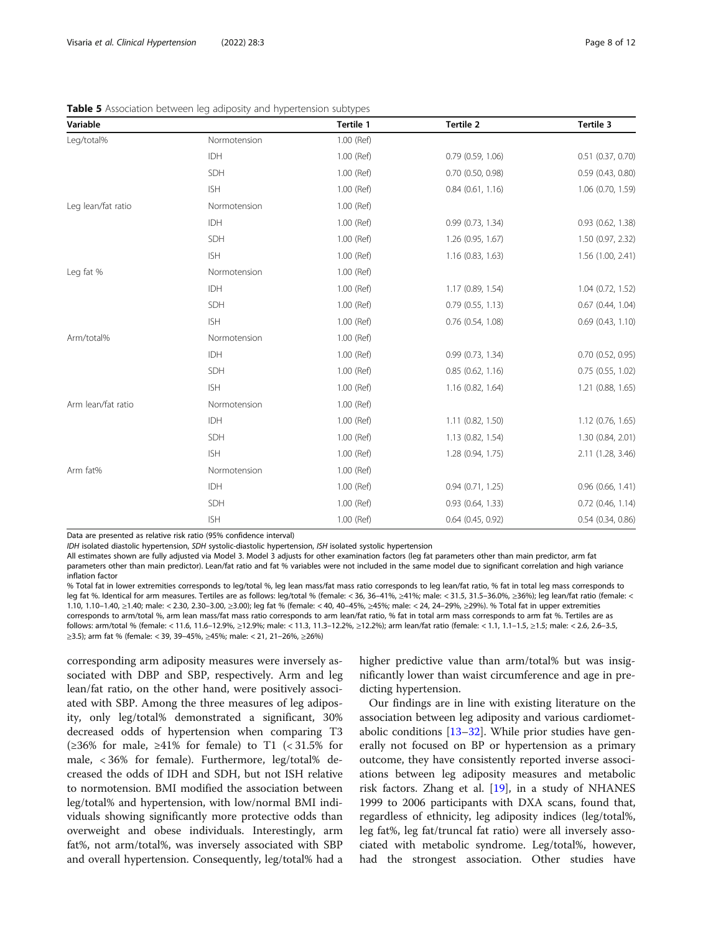| Variable           |              | Tertile 1  | Tertile 2           | Tertile 3             |
|--------------------|--------------|------------|---------------------|-----------------------|
| Leg/total%         | Normotension | 1.00 (Ref) |                     |                       |
|                    | IDH          | 1.00 (Ref) | 0.79 (0.59, 1.06)   | 0.51 (0.37, 0.70)     |
|                    | SDH          | 1.00 (Ref) | 0.70 (0.50, 0.98)   | 0.59 (0.43, 0.80)     |
|                    | <b>ISH</b>   | 1.00 (Ref) | $0.84$ (0.61, 1.16) | 1.06 (0.70, 1.59)     |
| Leg lean/fat ratio | Normotension | 1.00 (Ref) |                     |                       |
|                    | IDH          | 1.00 (Ref) | 0.99 (0.73, 1.34)   | $0.93$ $(0.62, 1.38)$ |
|                    | SDH          | 1.00 (Ref) | 1.26 (0.95, 1.67)   | 1.50 (0.97, 2.32)     |
|                    | <b>ISH</b>   | 1.00 (Ref) | 1.16 (0.83, 1.63)   | 1.56 (1.00, 2.41)     |
| Leg fat %          | Normotension | 1.00 (Ref) |                     |                       |
|                    | IDH          | 1.00 (Ref) | 1.17 (0.89, 1.54)   | 1.04 (0.72, 1.52)     |
|                    | SDH          | 1.00 (Ref) | 0.79(0.55, 1.13)    | $0.67$ (0.44, 1.04)   |
|                    | <b>ISH</b>   | 1.00 (Ref) | 0.76 (0.54, 1.08)   | 0.69(0.43, 1.10)      |
| Arm/total%         | Normotension | 1.00 (Ref) |                     |                       |
|                    | IDH          | 1.00 (Ref) | 0.99 (0.73, 1.34)   | 0.70 (0.52, 0.95)     |
|                    | SDH          | 1.00 (Ref) | 0.85(0.62, 1.16)    | $0.75$ $(0.55, 1.02)$ |
|                    | <b>ISH</b>   | 1.00 (Ref) | 1.16 (0.82, 1.64)   | 1.21 (0.88, 1.65)     |
| Arm lean/fat ratio | Normotension | 1.00 (Ref) |                     |                       |
|                    | IDH          | 1.00 (Ref) | 1.11 (0.82, 1.50)   | 1.12 (0.76, 1.65)     |
|                    | SDH          | 1.00 (Ref) | 1.13 (0.82, 1.54)   | 1.30 (0.84, 2.01)     |
|                    | <b>ISH</b>   | 1.00 (Ref) | 1.28 (0.94, 1.75)   | 2.11 (1.28, 3.46)     |
| Arm fat%           | Normotension | 1.00 (Ref) |                     |                       |
|                    | IDH          | 1.00 (Ref) | 0.94(0.71, 1.25)    | $0.96$ (0.66, 1.41)   |
|                    | SDH          | 1.00 (Ref) | 0.93 (0.64, 1.33)   | $0.72$ (0.46, 1.14)   |
|                    | <b>ISH</b>   | 1.00 (Ref) | $0.64$ (0.45, 0.92) | 0.54(0.34, 0.86)      |

<span id="page-7-0"></span>**Table 5** Association between leg adiposity and hypertension subtypes

Data are presented as relative risk ratio (95% confidence interval)

IDH isolated diastolic hypertension, SDH systolic-diastolic hypertension, ISH isolated systolic hypertension

All estimates shown are fully adjusted via Model 3. Model 3 adjusts for other examination factors (leg fat parameters other than main predictor, arm fat parameters other than main predictor). Lean/fat ratio and fat % variables were not included in the same model due to significant correlation and high variance inflation factor

% Total fat in lower extremities corresponds to leg/total %, leg lean mass/fat mass ratio corresponds to leg lean/fat ratio, % fat in total leg mass corresponds to leg fat %. Identical for arm measures. Tertiles are as follows: leg/total % (female: < 36, 36–41%, ≥41%; male: < 31.5, 31.5–36.0%, ≥36%); leg lean/fat ratio (female: < 1.10, 1.10–1.40, ≥1.40; male: < 2.30, 2.30–3.00, ≥3.00); leg fat % (female: < 40, 40–45%, ≥45%; male: < 24, 24–29%, ≥29%). % Total fat in upper extremities corresponds to arm/total %, arm lean mass/fat mass ratio corresponds to arm lean/fat ratio, % fat in total arm mass corresponds to arm fat %. Tertiles are as follows: arm/total % (female: < 11.6, 11.6–12.9%, ≥12.9%; male: < 11.3, 11.3–12.2%, ≥12.2%); arm lean/fat ratio (female: < 1.1, 1.1–1.5, ≥1.5; male: < 2.6, 2.6–3.5, ≥3.5); arm fat % (female: < 39, 39–45%, ≥45%; male: < 21, 21–26%, ≥26%)

corresponding arm adiposity measures were inversely associated with DBP and SBP, respectively. Arm and leg lean/fat ratio, on the other hand, were positively associated with SBP. Among the three measures of leg adiposity, only leg/total% demonstrated a significant, 30% decreased odds of hypertension when comparing T3 (≥36% for male, ≥41% for female) to T1 (< 31.5% for male, < 36% for female). Furthermore, leg/total% decreased the odds of IDH and SDH, but not ISH relative to normotension. BMI modified the association between leg/total% and hypertension, with low/normal BMI individuals showing significantly more protective odds than overweight and obese individuals. Interestingly, arm fat%, not arm/total%, was inversely associated with SBP and overall hypertension. Consequently, leg/total% had a higher predictive value than arm/total% but was insignificantly lower than waist circumference and age in predicting hypertension.

Our findings are in line with existing literature on the association between leg adiposity and various cardiometabolic conditions  $[13-32]$  $[13-32]$  $[13-32]$ . While prior studies have generally not focused on BP or hypertension as a primary outcome, they have consistently reported inverse associations between leg adiposity measures and metabolic risk factors. Zhang et al. [\[19\]](#page-10-0), in a study of NHANES 1999 to 2006 participants with DXA scans, found that, regardless of ethnicity, leg adiposity indices (leg/total%, leg fat%, leg fat/truncal fat ratio) were all inversely associated with metabolic syndrome. Leg/total%, however, had the strongest association. Other studies have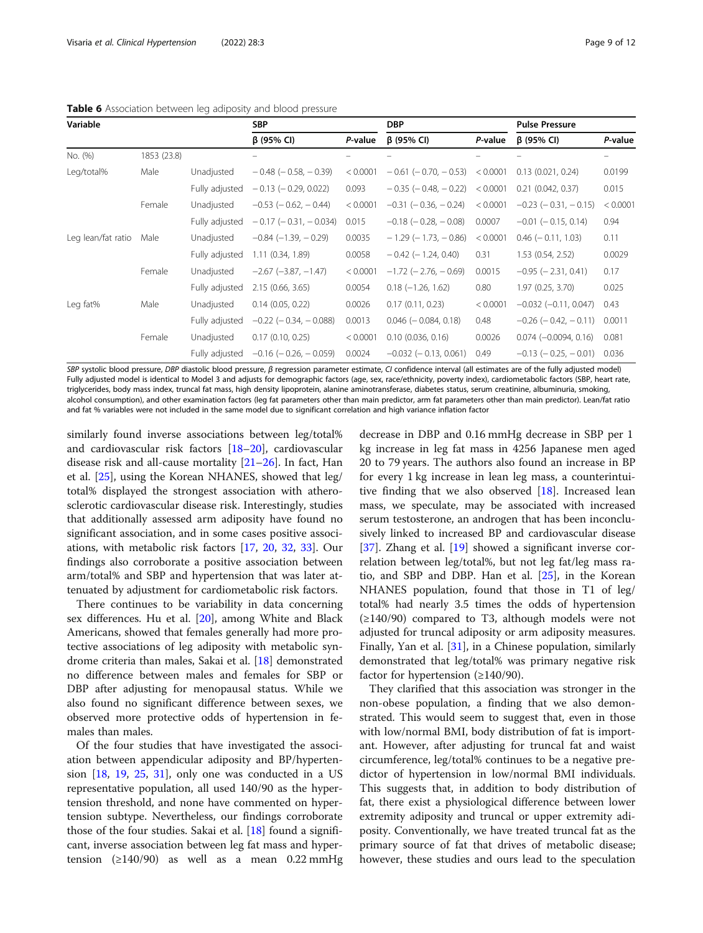<span id="page-8-0"></span>

| Variable           |             |                | <b>SBP</b>                     |          | <b>DBP</b>                    |          | <b>Pulse Pressure</b>         |          |
|--------------------|-------------|----------------|--------------------------------|----------|-------------------------------|----------|-------------------------------|----------|
|                    |             |                | $\beta$ (95% CI)               | P-value  | $\beta$ (95% CI)              | P-value  | $\beta$ (95% CI)              | P-value  |
| No. (%)            | 1853 (23.8) |                |                                |          |                               |          |                               |          |
| Leg/total%         | Male        | Unadjusted     | $-0.48$ ( $-0.58$ , $-0.39$ )  | < 0.0001 | $-0.61$ ( $-0.70$ , $-0.53$ ) | < 0.0001 | 0.13(0.021, 0.24)             | 0.0199   |
|                    |             | Fully adjusted | $-0.13$ ( $-0.29$ , 0.022)     | 0.093    | $-0.35$ ( $-0.48$ , $-0.22$ ) | < 0.0001 | $0.21$ $(0.042, 0.37)$        | 0.015    |
|                    | Female      | Unadjusted     | $-0.53$ ( $-0.62$ , $-0.44$ )  | < 0.0001 | $-0.31$ ( $-0.36$ , $-0.24$ ) | < 0.0001 | $-0.23$ ( $-0.31$ , $-0.15$ ) | < 0.0001 |
|                    |             | Fully adjusted | $-0.17$ ( $-0.31$ , $-0.034$ ) | 0.015    | $-0.18$ ( $-0.28$ , $-0.08$ ) | 0.0007   | $-0.01$ ( $-0.15$ , 0.14)     | 0.94     |
| Leg lean/fat ratio | Male        | Unadjusted     | $-0.84$ $(-1.39, -0.29)$       | 0.0035   | $-1.29$ ( $-1.73$ , $-0.86$ ) | < 0.0001 | $0.46$ ( $-0.11$ , 1.03)      | 0.11     |
|                    |             | Fully adjusted | 1.11(0.34, 1.89)               | 0.0058   | $-0.42$ ( $-1.24$ , 0.40)     | 0.31     | 1.53 (0.54, 2.52)             | 0.0029   |
|                    | Female      | Unadjusted     | $-2.67$ $(-3.87, -1.47)$       | < 0.0001 | $-1.72$ ( $-2.76$ , $-0.69$ ) | 0.0015   | $-0.95$ ( $-2.31$ , 0.41)     | 0.17     |
|                    |             | Fully adjusted | 2.15 (0.66, 3.65)              | 0.0054   | $0.18 (-1.26, 1.62)$          | 0.80     | 1.97 (0.25, 3.70)             | 0.025    |
| Leg fat%           | Male        | Unadjusted     | 0.14(0.05, 0.22)               | 0.0026   | 0.17(0.11, 0.23)              | < 0.0001 | $-0.032$ ( $-0.11$ , 0.047)   | 0.43     |
|                    |             | Fully adjusted | $-0.22$ ( $-0.34$ , $-0.088$ ) | 0.0013   | $0.046$ ( $-0.084$ , 0.18)    | 0.48     | $-0.26$ ( $-0.42$ , $-0.11$ ) | 0.0011   |
|                    | Female      | Unadjusted     | 0.17(0.10, 0.25)               | < 0.0001 | 0.10(0.036, 0.16)             | 0.0026   | $0.074 (-0.0094, 0.16)$       | 0.081    |
|                    |             | Fully adjusted | $-0.16$ ( $-0.26$ , $-0.059$ ) | 0.0024   | $-0.032$ ( $-0.13$ , 0.061)   | 0.49     | $-0.13$ ( $-0.25$ , $-0.01$ ) | 0.036    |

SBP systolic blood pressure, DBP diastolic blood pressure, β regression parameter estimate, CI confidence interval (all estimates are of the fully adjusted model) Fully adjusted model is identical to Model 3 and adjusts for demographic factors (age, sex, race/ethnicity, poverty index), cardiometabolic factors (SBP, heart rate, triglycerides, body mass index, truncal fat mass, high density lipoprotein, alanine aminotransferase, diabetes status, serum creatinine, albuminuria, smoking, alcohol consumption), and other examination factors (leg fat parameters other than main predictor, arm fat parameters other than main predictor). Lean/fat ratio and fat % variables were not included in the same model due to significant correlation and high variance inflation factor

similarly found inverse associations between leg/total% and cardiovascular risk factors [\[18](#page-10-0)–[20\]](#page-10-0), cardiovascular disease risk and all-cause mortality [[21](#page-10-0)–[26\]](#page-10-0). In fact, Han et al. [\[25](#page-10-0)], using the Korean NHANES, showed that leg/ total% displayed the strongest association with atherosclerotic cardiovascular disease risk. Interestingly, studies that additionally assessed arm adiposity have found no significant association, and in some cases positive associations, with metabolic risk factors [[17,](#page-10-0) [20,](#page-10-0) [32,](#page-11-0) [33\]](#page-11-0). Our findings also corroborate a positive association between arm/total% and SBP and hypertension that was later attenuated by adjustment for cardiometabolic risk factors.

There continues to be variability in data concerning sex differences. Hu et al. [[20\]](#page-10-0), among White and Black Americans, showed that females generally had more protective associations of leg adiposity with metabolic syndrome criteria than males, Sakai et al. [\[18](#page-10-0)] demonstrated no difference between males and females for SBP or DBP after adjusting for menopausal status. While we also found no significant difference between sexes, we observed more protective odds of hypertension in females than males.

Of the four studies that have investigated the association between appendicular adiposity and BP/hypertension [\[18,](#page-10-0) [19](#page-10-0), [25,](#page-10-0) [31\]](#page-10-0), only one was conducted in a US representative population, all used 140/90 as the hypertension threshold, and none have commented on hypertension subtype. Nevertheless, our findings corroborate those of the four studies. Sakai et al. [\[18\]](#page-10-0) found a significant, inverse association between leg fat mass and hypertension ( $\geq$ 140/90) as well as a mean 0.22 mmHg

decrease in DBP and 0.16 mmHg decrease in SBP per 1 kg increase in leg fat mass in 4256 Japanese men aged 20 to 79 years. The authors also found an increase in BP for every 1 kg increase in lean leg mass, a counterintuitive finding that we also observed [\[18](#page-10-0)]. Increased lean mass, we speculate, may be associated with increased serum testosterone, an androgen that has been inconclusively linked to increased BP and cardiovascular disease [[37\]](#page-11-0). Zhang et al. [\[19\]](#page-10-0) showed a significant inverse correlation between leg/total%, but not leg fat/leg mass ratio, and SBP and DBP. Han et al. [\[25\]](#page-10-0), in the Korean NHANES population, found that those in T1 of leg/ total% had nearly 3.5 times the odds of hypertension  $(\geq 140/90)$  compared to T3, although models were not adjusted for truncal adiposity or arm adiposity measures. Finally, Yan et al. [\[31\]](#page-10-0), in a Chinese population, similarly demonstrated that leg/total% was primary negative risk factor for hypertension  $(\geq 140/90)$ .

They clarified that this association was stronger in the non-obese population, a finding that we also demonstrated. This would seem to suggest that, even in those with low/normal BMI, body distribution of fat is important. However, after adjusting for truncal fat and waist circumference, leg/total% continues to be a negative predictor of hypertension in low/normal BMI individuals. This suggests that, in addition to body distribution of fat, there exist a physiological difference between lower extremity adiposity and truncal or upper extremity adiposity. Conventionally, we have treated truncal fat as the primary source of fat that drives of metabolic disease; however, these studies and ours lead to the speculation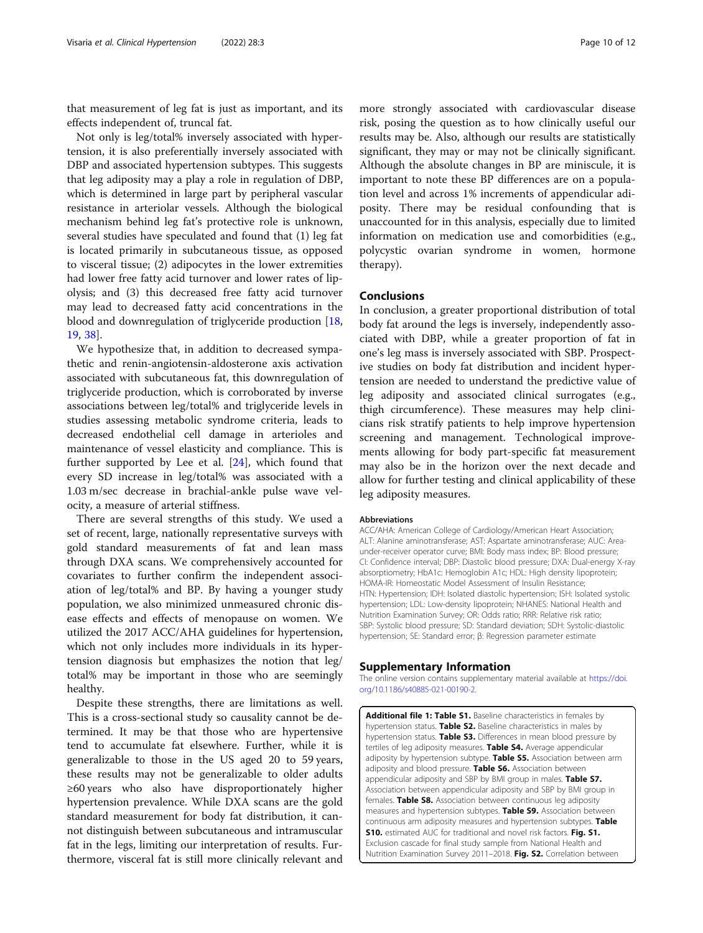<span id="page-9-0"></span>that measurement of leg fat is just as important, and its effects independent of, truncal fat.

Not only is leg/total% inversely associated with hypertension, it is also preferentially inversely associated with DBP and associated hypertension subtypes. This suggests that leg adiposity may a play a role in regulation of DBP, which is determined in large part by peripheral vascular resistance in arteriolar vessels. Although the biological mechanism behind leg fat's protective role is unknown, several studies have speculated and found that (1) leg fat is located primarily in subcutaneous tissue, as opposed to visceral tissue; (2) adipocytes in the lower extremities had lower free fatty acid turnover and lower rates of lipolysis; and (3) this decreased free fatty acid turnover may lead to decreased fatty acid concentrations in the blood and downregulation of triglyceride production [[18](#page-10-0), [19,](#page-10-0) [38](#page-11-0)].

We hypothesize that, in addition to decreased sympathetic and renin-angiotensin-aldosterone axis activation associated with subcutaneous fat, this downregulation of triglyceride production, which is corroborated by inverse associations between leg/total% and triglyceride levels in studies assessing metabolic syndrome criteria, leads to decreased endothelial cell damage in arterioles and maintenance of vessel elasticity and compliance. This is further supported by Lee et al. [\[24](#page-10-0)], which found that every SD increase in leg/total% was associated with a 1.03 m/sec decrease in brachial-ankle pulse wave velocity, a measure of arterial stiffness.

There are several strengths of this study. We used a set of recent, large, nationally representative surveys with gold standard measurements of fat and lean mass through DXA scans. We comprehensively accounted for covariates to further confirm the independent association of leg/total% and BP. By having a younger study population, we also minimized unmeasured chronic disease effects and effects of menopause on women. We utilized the 2017 ACC/AHA guidelines for hypertension, which not only includes more individuals in its hypertension diagnosis but emphasizes the notion that leg/ total% may be important in those who are seemingly healthy.

Despite these strengths, there are limitations as well. This is a cross-sectional study so causality cannot be determined. It may be that those who are hypertensive tend to accumulate fat elsewhere. Further, while it is generalizable to those in the US aged 20 to 59 years, these results may not be generalizable to older adults ≥60 years who also have disproportionately higher hypertension prevalence. While DXA scans are the gold standard measurement for body fat distribution, it cannot distinguish between subcutaneous and intramuscular fat in the legs, limiting our interpretation of results. Furthermore, visceral fat is still more clinically relevant and more strongly associated with cardiovascular disease risk, posing the question as to how clinically useful our results may be. Also, although our results are statistically significant, they may or may not be clinically significant. Although the absolute changes in BP are miniscule, it is important to note these BP differences are on a population level and across 1% increments of appendicular adiposity. There may be residual confounding that is unaccounted for in this analysis, especially due to limited information on medication use and comorbidities (e.g., polycystic ovarian syndrome in women, hormone therapy).

#### Conclusions

In conclusion, a greater proportional distribution of total body fat around the legs is inversely, independently associated with DBP, while a greater proportion of fat in one's leg mass is inversely associated with SBP. Prospective studies on body fat distribution and incident hypertension are needed to understand the predictive value of leg adiposity and associated clinical surrogates (e.g., thigh circumference). These measures may help clinicians risk stratify patients to help improve hypertension screening and management. Technological improvements allowing for body part-specific fat measurement may also be in the horizon over the next decade and allow for further testing and clinical applicability of these leg adiposity measures.

#### Abbreviations

ACC/AHA: American College of Cardiology/American Heart Association; ALT: Alanine aminotransferase; AST: Aspartate aminotransferase; AUC: Areaunder-receiver operator curve; BMI: Body mass index; BP: Blood pressure; CI: Confidence interval; DBP: Diastolic blood pressure; DXA: Dual-energy X-ray absorptiometry; HbA1c: Hemoglobin A1c; HDL: High density lipoprotein; HOMA-IR: Homeostatic Model Assessment of Insulin Resistance; HTN: Hypertension; IDH: Isolated diastolic hypertension; ISH: Isolated systolic hypertension; LDL: Low-density lipoprotein; NHANES: National Health and Nutrition Examination Survey; OR: Odds ratio; RRR: Relative risk ratio; SBP: Systolic blood pressure; SD: Standard deviation; SDH: Systolic-diastolic hypertension; SE: Standard error; β: Regression parameter estimate

#### Supplementary Information

The online version contains supplementary material available at [https://doi.](https://doi.org/10.1186/s40885-021-00190-2) [org/10.1186/s40885-021-00190-2.](https://doi.org/10.1186/s40885-021-00190-2)

Additional file 1: Table S1. Baseline characteristics in females by hypertension status. Table S2. Baseline characteristics in males by hypertension status. Table S3. Differences in mean blood pressure by tertiles of leg adiposity measures. Table S4. Average appendicular adiposity by hypertension subtype. Table S5. Association between arm adiposity and blood pressure. Table S6. Association between appendicular adiposity and SBP by BMI group in males. Table S7. Association between appendicular adiposity and SBP by BMI group in females. Table S8. Association between continuous leg adiposity measures and hypertension subtypes. Table S9. Association between continuous arm adiposity measures and hypertension subtypes. Table **S10.** estimated AUC for traditional and novel risk factors. Fig. S1. Exclusion cascade for final study sample from National Health and Nutrition Examination Survey 2011-2018. Fig. S2. Correlation between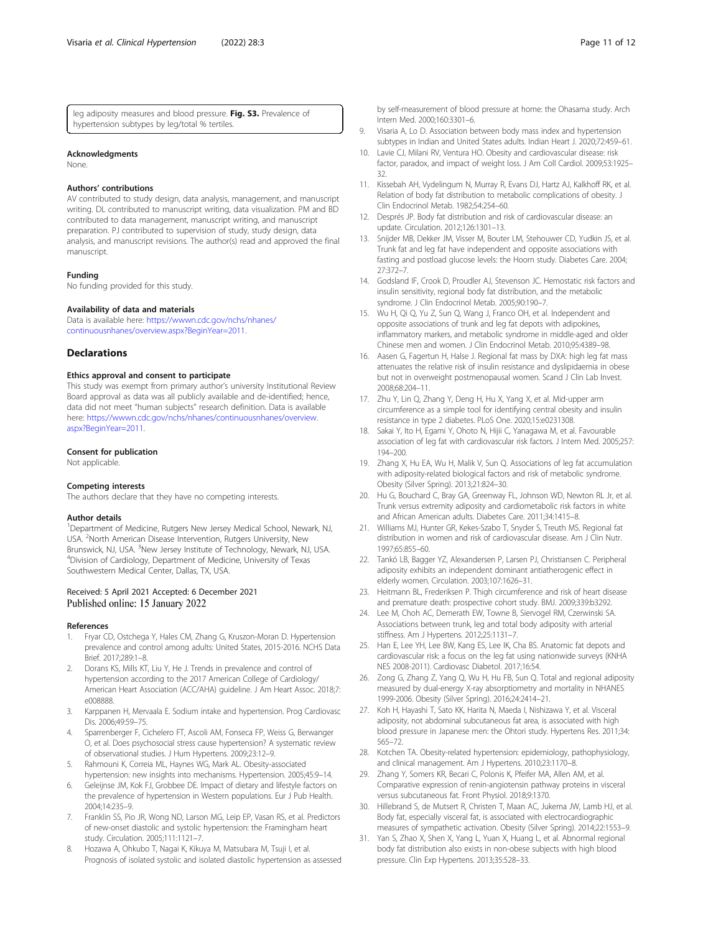<span id="page-10-0"></span>leg adiposity measures and blood pressure. Fig. S3. Prevalence of hypertension subtypes by leg/total % tertiles.

#### Acknowledgments

None.

#### Authors' contributions

AV contributed to study design, data analysis, management, and manuscript writing. DL contributed to manuscript writing, data visualization. PM and BD contributed to data management, manuscript writing, and manuscript preparation. PJ contributed to supervision of study, study design, data analysis, and manuscript revisions. The author(s) read and approved the final manuscript.

#### Funding

No funding provided for this study.

#### Availability of data and materials

Data is available here: [https://wwwn.cdc.gov/nchs/nhanes/](https://wwwn.cdc.gov/nchs/nhanes/continuousnhanes/overview.aspx?BeginYear=2011) [continuousnhanes/overview.aspx?BeginYear=2011.](https://wwwn.cdc.gov/nchs/nhanes/continuousnhanes/overview.aspx?BeginYear=2011)

#### **Declarations**

#### Ethics approval and consent to participate

This study was exempt from primary author's university Institutional Review Board approval as data was all publicly available and de-identified; hence, data did not meet "human subjects" research definition. Data is available here: [https://wwwn.cdc.gov/nchs/nhanes/continuousnhanes/overview.](https://wwwn.cdc.gov/nchs/nhanes/continuousnhanes/overview.aspx?BeginYear=2011) [aspx?BeginYear=2011.](https://wwwn.cdc.gov/nchs/nhanes/continuousnhanes/overview.aspx?BeginYear=2011)

#### Consent for publication

Not applicable.

#### Competing interests

The authors declare that they have no competing interests.

#### Author details

<sup>1</sup>Department of Medicine, Rutgers New Jersey Medical School, Newark, NJ USA. <sup>2</sup>North American Disease Intervention, Rutgers University, New Brunswick, NJ, USA. <sup>3</sup>New Jersey Institute of Technology, Newark, NJ, USA.<br><sup>4</sup>Division of Cardiology, Department of Modicine, University of Toyas <sup>4</sup>Division of Cardiology, Department of Medicine, University of Texas Southwestern Medical Center, Dallas, TX, USA.

#### Received: 5 April 2021 Accepted: 6 December 2021 Published online: 15 January 2022

#### References

- 1. Fryar CD, Ostchega Y, Hales CM, Zhang G, Kruszon-Moran D. Hypertension prevalence and control among adults: United States, 2015-2016. NCHS Data Brief. 2017;289:1–8.
- 2. Dorans KS, Mills KT, Liu Y, He J. Trends in prevalence and control of hypertension according to the 2017 American College of Cardiology/ American Heart Association (ACC/AHA) guideline. J Am Heart Assoc. 2018;7: e008888.
- 3. Karppanen H, Mervaala E. Sodium intake and hypertension. Prog Cardiovasc Dis. 2006;49:59–75.
- 4. Sparrenberger F, Cichelero FT, Ascoli AM, Fonseca FP, Weiss G, Berwanger O, et al. Does psychosocial stress cause hypertension? A systematic review of observational studies. J Hum Hypertens. 2009;23:12–9.
- Rahmouni K, Correia ML, Haynes WG, Mark AL. Obesity-associated hypertension: new insights into mechanisms. Hypertension. 2005;45:9–14.
- 6. Geleijnse JM, Kok FJ, Grobbee DE. Impact of dietary and lifestyle factors on the prevalence of hypertension in Western populations. Eur J Pub Health. 2004;14:235–9.
- Franklin SS, Pio JR, Wong ND, Larson MG, Leip EP, Vasan RS, et al. Predictors of new-onset diastolic and systolic hypertension: the Framingham heart study. Circulation. 2005;111:1121–7.
- 8. Hozawa A, Ohkubo T, Nagai K, Kikuya M, Matsubara M, Tsuji I, et al. Prognosis of isolated systolic and isolated diastolic hypertension as assessed
- 9. Visaria A, Lo D. Association between body mass index and hypertension subtypes in Indian and United States adults. Indian Heart J. 2020;72:459–61.
- 10. Lavie CJ, Milani RV, Ventura HO. Obesity and cardiovascular disease: risk factor, paradox, and impact of weight loss. J Am Coll Cardiol. 2009;53:1925– 32.
- 11. Kissebah AH, Vydelingum N, Murray R, Evans DJ, Hartz AJ, Kalkhoff RK, et al. Relation of body fat distribution to metabolic complications of obesity. J Clin Endocrinol Metab. 1982;54:254–60.
- 12. Després JP. Body fat distribution and risk of cardiovascular disease: an update. Circulation. 2012;126:1301–13.
- 13. Snijder MB, Dekker JM, Visser M, Bouter LM, Stehouwer CD, Yudkin JS, et al. Trunk fat and leg fat have independent and opposite associations with fasting and postload glucose levels: the Hoorn study. Diabetes Care. 2004; 27:372–7.
- 14. Godsland IF, Crook D, Proudler AJ, Stevenson JC. Hemostatic risk factors and insulin sensitivity, regional body fat distribution, and the metabolic syndrome. J Clin Endocrinol Metab. 2005;90:190–7.
- 15. Wu H, Qi Q, Yu Z, Sun Q, Wang J, Franco OH, et al. Independent and opposite associations of trunk and leg fat depots with adipokines, inflammatory markers, and metabolic syndrome in middle-aged and older Chinese men and women. J Clin Endocrinol Metab. 2010;95:4389–98.
- 16. Aasen G, Fagertun H, Halse J. Regional fat mass by DXA: high leg fat mass attenuates the relative risk of insulin resistance and dyslipidaemia in obese but not in overweight postmenopausal women. Scand J Clin Lab Invest. 2008;68:204–11.
- 17. Zhu Y, Lin Q, Zhang Y, Deng H, Hu X, Yang X, et al. Mid-upper arm circumference as a simple tool for identifying central obesity and insulin resistance in type 2 diabetes. PLoS One. 2020;15:e0231308.
- 18. Sakai Y, Ito H, Egami Y, Ohoto N, Hijii C, Yanagawa M, et al. Favourable association of leg fat with cardiovascular risk factors. J Intern Med. 2005;257: 194–200.
- 19. Zhang X, Hu EA, Wu H, Malik V, Sun Q. Associations of leg fat accumulation with adiposity-related biological factors and risk of metabolic syndrome. Obesity (Silver Spring). 2013;21:824–30.
- 20. Hu G, Bouchard C, Bray GA, Greenway FL, Johnson WD, Newton RL Jr, et al. Trunk versus extremity adiposity and cardiometabolic risk factors in white and African American adults. Diabetes Care. 2011;34:1415–8.
- 21. Williams MJ, Hunter GR, Kekes-Szabo T, Snyder S, Treuth MS. Regional fat distribution in women and risk of cardiovascular disease. Am J Clin Nutr. 1997;65:855–60.
- 22. Tankó LB, Bagger YZ, Alexandersen P, Larsen PJ, Christiansen C. Peripheral adiposity exhibits an independent dominant antiatherogenic effect in elderly women. Circulation. 2003;107:1626–31.
- 23. Heitmann BL, Frederiksen P. Thigh circumference and risk of heart disease and premature death: prospective cohort study. BMJ. 2009;339:b3292.
- 24. Lee M, Choh AC, Demerath EW, Towne B, Siervogel RM, Czerwinski SA. Associations between trunk, leg and total body adiposity with arterial stiffness. Am J Hypertens. 2012;25:1131–7.
- 25. Han E, Lee YH, Lee BW, Kang ES, Lee IK, Cha BS. Anatomic fat depots and cardiovascular risk: a focus on the leg fat using nationwide surveys (KNHA NES 2008-2011). Cardiovasc Diabetol. 2017;16:54.
- 26. Zong G, Zhang Z, Yang Q, Wu H, Hu FB, Sun Q. Total and regional adiposity measured by dual-energy X-ray absorptiometry and mortality in NHANES 1999-2006. Obesity (Silver Spring). 2016;24:2414–21.
- 27. Koh H, Hayashi T, Sato KK, Harita N, Maeda I, Nishizawa Y, et al. Visceral adiposity, not abdominal subcutaneous fat area, is associated with high blood pressure in Japanese men: the Ohtori study. Hypertens Res. 2011;34: 565–72.
- 28. Kotchen TA. Obesity-related hypertension: epidemiology, pathophysiology, and clinical management. Am J Hypertens. 2010;23:1170–8.
- 29. Zhang Y, Somers KR, Becari C, Polonis K, Pfeifer MA, Allen AM, et al. Comparative expression of renin-angiotensin pathway proteins in visceral versus subcutaneous fat. Front Physiol. 2018;9:1370.
- 30. Hillebrand S, de Mutsert R, Christen T, Maan AC, Jukema JW, Lamb HJ, et al. Body fat, especially visceral fat, is associated with electrocardiographic measures of sympathetic activation. Obesity (Silver Spring). 2014;22:1553–9.
- 31. Yan S, Zhao X, Shen X, Yang L, Yuan X, Huang L, et al. Abnormal regional body fat distribution also exists in non-obese subjects with high blood pressure. Clin Exp Hypertens. 2013;35:528–33.